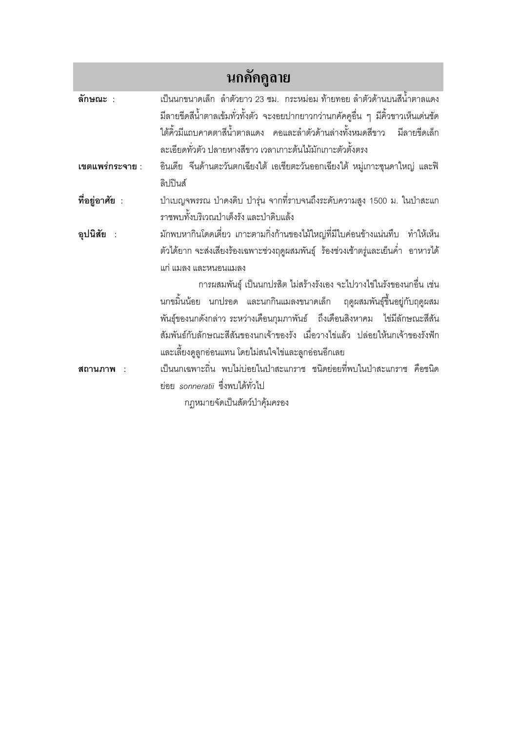| นกคัคคูลาย      |                                                                                      |
|-----------------|--------------------------------------------------------------------------------------|
| ลักษณะ :        | เป็นนกขนาดเล็ก  ลำตัวยาว 23 ซม.  กระหม่อม ท้ายทอย ลำตัวด้านบนสีน้ำตาลแดง             |
|                 | มีลายขีดสีน้ำตาลเข้มทั่วทั้งตัว จะงอยปากยาวกว่านกคัคคูอื่น ๆ มีคิ้วขาวเห็นเด่นชัด    |
|                 | ใต้คิ้วมีแถบคาดตาสีน้ำตาลแดง คอและลำตัวด้านล่างทั้งหมดสีขาว มีลายขีดเล็ก             |
|                 | ละเอียดทั่วตัว ปลายหางสีขาว เวลาเกาะต้นไม้มักเกาะตัวตั้งตรง                          |
| เขตแพร่กระจาย : | อินเดีย จีนด้านตะวันตกเฉียงใต้ เอเชียตะวันออกเฉียงใต้ หมู่เกาะซุนดาใหญ่ และฟิ        |
|                 | ลิปปินส์                                                                             |
| ที่อยู่อาศัย :  | ป่าเบญจพรรณ ป่าดงดิบ ป่ารุ่น จากที่ราบจนถึงระดับความสูง 1500 ม. ในป่าสะแก            |
|                 | ราชพบทั้งบริเวณป่าเต็งรัง และป่าดิบแล้ง                                              |
| อุปนิสัย :      | ้มักพบหากินโดดเดี่ยว เกาะตามกิ่งก้านของไม้ใหญ่ที่มีใบค่อนข้างแน่นทึบ ทำให้เห็น       |
|                 | ้ตัวได้ยาก จะส่งเสียงร้องเฉพาะช่วงฤดูผสมพันธุ์  ร้องช่วงเช้าตรู่และเย็นค่ำ  อาหารได้ |
|                 | แก่ แมลง และหนอนแมลง                                                                 |
|                 | การผสมพันธุ์ เป็นนกปรสิต ไม่สร้างรังเอง จะไปวางไข่ในรังของนกอื่น เช่น                |
|                 | นกขมิ้นน้อย นกปรอด และนกกินแมลงขนาดเล็ก ฤดูผสมพันธุ์ขึ้นอยู่กับฤดูผสม                |
|                 | พันธุ์ของนกดังกล่าว ระหว่างเดือนกุมภาพันธ์   ถึงเดือนสิงหาคม   ไข่มีลักษณะสีสัน      |
|                 | สัมพันธ์กับลักษณะสีสันของนกเจ้าของรัง เมื่อวางไข่แล้ว ปล่อยให้นกเจ้าของรังฟัก        |
|                 | และเลี้ยงดูลูกอ่อนแทน โดยไม่สนใจไข่และลูกอ่อนอีกเลย                                  |
| สถานภาพ         | เป็นนกเฉพาะถิ่น พบไม่บ่อยในป่าสะแกราช ชนิดย่อยที่พบในป่าสะแกราช คือชนิด              |
|                 | ย่อย sonneratii ซึ่งพบได้ทั่วไป                                                      |
|                 | กฎหมายจัดเป็นสัตว์ป่าคุ้มครอง                                                        |